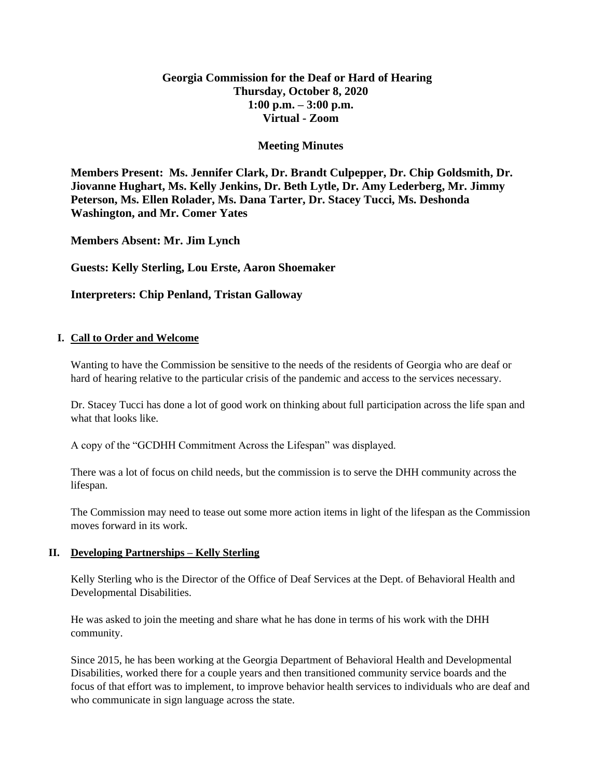# **Georgia Commission for the Deaf or Hard of Hearing Thursday, October 8, 2020 1:00 p.m. – 3:00 p.m. Virtual - Zoom**

### **Meeting Minutes**

**Members Present: Ms. Jennifer Clark, Dr. Brandt Culpepper, Dr. Chip Goldsmith, Dr. Jiovanne Hughart, Ms. Kelly Jenkins, Dr. Beth Lytle, Dr. Amy Lederberg, Mr. Jimmy Peterson, Ms. Ellen Rolader, Ms. Dana Tarter, Dr. Stacey Tucci, Ms. Deshonda Washington, and Mr. Comer Yates**

**Members Absent: Mr. Jim Lynch**

**Guests: Kelly Sterling, Lou Erste, Aaron Shoemaker**

### **Interpreters: Chip Penland, Tristan Galloway**

### **I. Call to Order and Welcome**

Wanting to have the Commission be sensitive to the needs of the residents of Georgia who are deaf or hard of hearing relative to the particular crisis of the pandemic and access to the services necessary.

Dr. Stacey Tucci has done a lot of good work on thinking about full participation across the life span and what that looks like.

A copy of the "GCDHH Commitment Across the Lifespan" was displayed.

There was a lot of focus on child needs, but the commission is to serve the DHH community across the lifespan.

The Commission may need to tease out some more action items in light of the lifespan as the Commission moves forward in its work.

### **II. Developing Partnerships – Kelly Sterling**

Kelly Sterling who is the Director of the Office of Deaf Services at the Dept. of Behavioral Health and Developmental Disabilities.

He was asked to join the meeting and share what he has done in terms of his work with the DHH community.

Since 2015, he has been working at the Georgia Department of Behavioral Health and Developmental Disabilities, worked there for a couple years and then transitioned community service boards and the focus of that effort was to implement, to improve behavior health services to individuals who are deaf and who communicate in sign language across the state.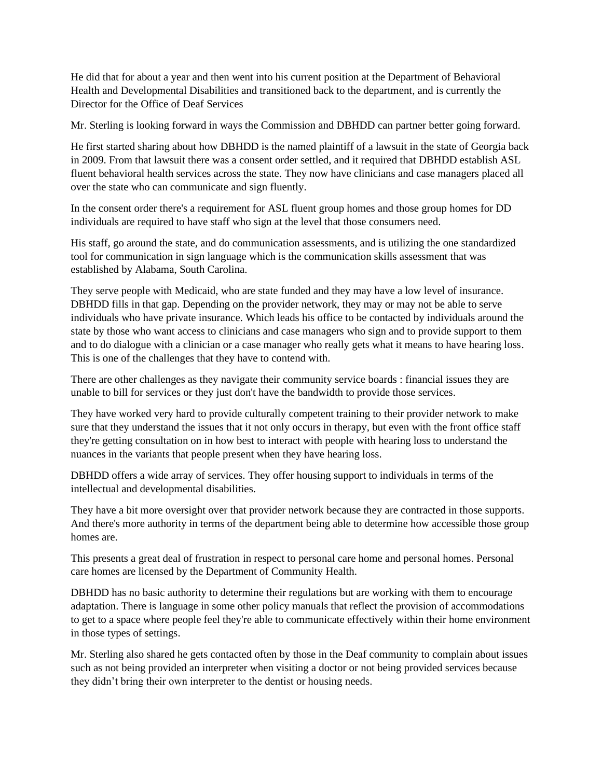He did that for about a year and then went into his current position at the Department of Behavioral Health and Developmental Disabilities and transitioned back to the department, and is currently the Director for the Office of Deaf Services

Mr. Sterling is looking forward in ways the Commission and DBHDD can partner better going forward.

He first started sharing about how DBHDD is the named plaintiff of a lawsuit in the state of Georgia back in 2009. From that lawsuit there was a consent order settled, and it required that DBHDD establish ASL fluent behavioral health services across the state. They now have clinicians and case managers placed all over the state who can communicate and sign fluently.

In the consent order there's a requirement for ASL fluent group homes and those group homes for DD individuals are required to have staff who sign at the level that those consumers need.

His staff, go around the state, and do communication assessments, and is utilizing the one standardized tool for communication in sign language which is the communication skills assessment that was established by Alabama, South Carolina.

They serve people with Medicaid, who are state funded and they may have a low level of insurance. DBHDD fills in that gap. Depending on the provider network, they may or may not be able to serve individuals who have private insurance. Which leads his office to be contacted by individuals around the state by those who want access to clinicians and case managers who sign and to provide support to them and to do dialogue with a clinician or a case manager who really gets what it means to have hearing loss. This is one of the challenges that they have to contend with.

There are other challenges as they navigate their community service boards : financial issues they are unable to bill for services or they just don't have the bandwidth to provide those services.

They have worked very hard to provide culturally competent training to their provider network to make sure that they understand the issues that it not only occurs in therapy, but even with the front office staff they're getting consultation on in how best to interact with people with hearing loss to understand the nuances in the variants that people present when they have hearing loss.

DBHDD offers a wide array of services. They offer housing support to individuals in terms of the intellectual and developmental disabilities.

They have a bit more oversight over that provider network because they are contracted in those supports. And there's more authority in terms of the department being able to determine how accessible those group homes are.

This presents a great deal of frustration in respect to personal care home and personal homes. Personal care homes are licensed by the Department of Community Health.

DBHDD has no basic authority to determine their regulations but are working with them to encourage adaptation. There is language in some other policy manuals that reflect the provision of accommodations to get to a space where people feel they're able to communicate effectively within their home environment in those types of settings.

Mr. Sterling also shared he gets contacted often by those in the Deaf community to complain about issues such as not being provided an interpreter when visiting a doctor or not being provided services because they didn't bring their own interpreter to the dentist or housing needs.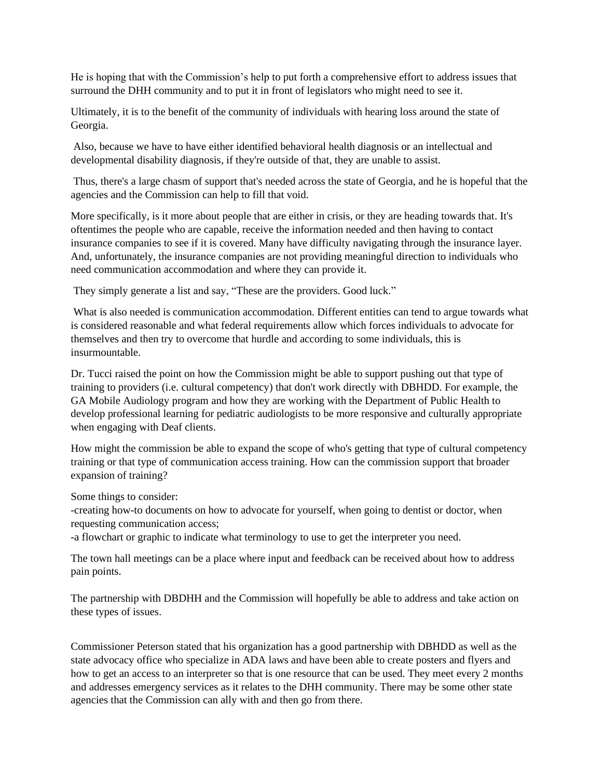He is hoping that with the Commission's help to put forth a comprehensive effort to address issues that surround the DHH community and to put it in front of legislators who might need to see it.

Ultimately, it is to the benefit of the community of individuals with hearing loss around the state of Georgia.

Also, because we have to have either identified behavioral health diagnosis or an intellectual and developmental disability diagnosis, if they're outside of that, they are unable to assist.

Thus, there's a large chasm of support that's needed across the state of Georgia, and he is hopeful that the agencies and the Commission can help to fill that void.

More specifically, is it more about people that are either in crisis, or they are heading towards that. It's oftentimes the people who are capable, receive the information needed and then having to contact insurance companies to see if it is covered. Many have difficulty navigating through the insurance layer. And, unfortunately, the insurance companies are not providing meaningful direction to individuals who need communication accommodation and where they can provide it.

They simply generate a list and say, "These are the providers. Good luck."

What is also needed is communication accommodation. Different entities can tend to argue towards what is considered reasonable and what federal requirements allow which forces individuals to advocate for themselves and then try to overcome that hurdle and according to some individuals, this is insurmountable.

Dr. Tucci raised the point on how the Commission might be able to support pushing out that type of training to providers (i.e. cultural competency) that don't work directly with DBHDD. For example, the GA Mobile Audiology program and how they are working with the Department of Public Health to develop professional learning for pediatric audiologists to be more responsive and culturally appropriate when engaging with Deaf clients.

How might the commission be able to expand the scope of who's getting that type of cultural competency training or that type of communication access training. How can the commission support that broader expansion of training?

Some things to consider:

-creating how-to documents on how to advocate for yourself, when going to dentist or doctor, when requesting communication access;

-a flowchart or graphic to indicate what terminology to use to get the interpreter you need.

The town hall meetings can be a place where input and feedback can be received about how to address pain points.

The partnership with DBDHH and the Commission will hopefully be able to address and take action on these types of issues.

Commissioner Peterson stated that his organization has a good partnership with DBHDD as well as the state advocacy office who specialize in ADA laws and have been able to create posters and flyers and how to get an access to an interpreter so that is one resource that can be used. They meet every 2 months and addresses emergency services as it relates to the DHH community. There may be some other state agencies that the Commission can ally with and then go from there.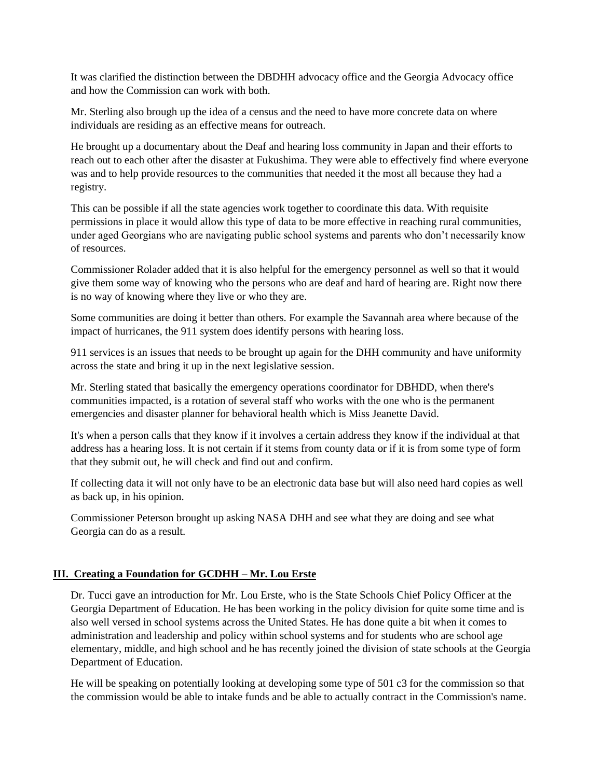It was clarified the distinction between the DBDHH advocacy office and the Georgia Advocacy office and how the Commission can work with both.

Mr. Sterling also brough up the idea of a census and the need to have more concrete data on where individuals are residing as an effective means for outreach.

He brought up a documentary about the Deaf and hearing loss community in Japan and their efforts to reach out to each other after the disaster at Fukushima. They were able to effectively find where everyone was and to help provide resources to the communities that needed it the most all because they had a registry.

This can be possible if all the state agencies work together to coordinate this data. With requisite permissions in place it would allow this type of data to be more effective in reaching rural communities, under aged Georgians who are navigating public school systems and parents who don't necessarily know of resources.

Commissioner Rolader added that it is also helpful for the emergency personnel as well so that it would give them some way of knowing who the persons who are deaf and hard of hearing are. Right now there is no way of knowing where they live or who they are.

Some communities are doing it better than others. For example the Savannah area where because of the impact of hurricanes, the 911 system does identify persons with hearing loss.

911 services is an issues that needs to be brought up again for the DHH community and have uniformity across the state and bring it up in the next legislative session.

Mr. Sterling stated that basically the emergency operations coordinator for DBHDD, when there's communities impacted, is a rotation of several staff who works with the one who is the permanent emergencies and disaster planner for behavioral health which is Miss Jeanette David.

It's when a person calls that they know if it involves a certain address they know if the individual at that address has a hearing loss. It is not certain if it stems from county data or if it is from some type of form that they submit out, he will check and find out and confirm.

If collecting data it will not only have to be an electronic data base but will also need hard copies as well as back up, in his opinion.

Commissioner Peterson brought up asking NASA DHH and see what they are doing and see what Georgia can do as a result.

### **III. Creating a Foundation for GCDHH – Mr. Lou Erste**

Dr. Tucci gave an introduction for Mr. Lou Erste, who is the State Schools Chief Policy Officer at the Georgia Department of Education. He has been working in the policy division for quite some time and is also well versed in school systems across the United States. He has done quite a bit when it comes to administration and leadership and policy within school systems and for students who are school age elementary, middle, and high school and he has recently joined the division of state schools at the Georgia Department of Education.

He will be speaking on potentially looking at developing some type of 501 c3 for the commission so that the commission would be able to intake funds and be able to actually contract in the Commission's name.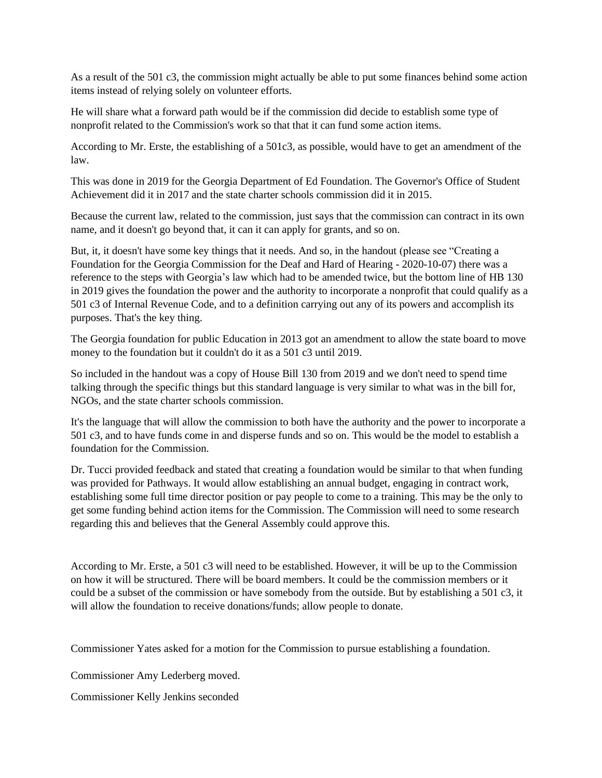As a result of the 501 c3, the commission might actually be able to put some finances behind some action items instead of relying solely on volunteer efforts.

He will share what a forward path would be if the commission did decide to establish some type of nonprofit related to the Commission's work so that that it can fund some action items.

According to Mr. Erste, the establishing of a 501c3, as possible, would have to get an amendment of the law.

This was done in 2019 for the Georgia Department of Ed Foundation. The Governor's Office of Student Achievement did it in 2017 and the state charter schools commission did it in 2015.

Because the current law, related to the commission, just says that the commission can contract in its own name, and it doesn't go beyond that, it can it can apply for grants, and so on.

But, it, it doesn't have some key things that it needs. And so, in the handout (please see "Creating a Foundation for the Georgia Commission for the Deaf and Hard of Hearing - 2020-10-07) there was a reference to the steps with Georgia's law which had to be amended twice, but the bottom line of HB 130 in 2019 gives the foundation the power and the authority to incorporate a nonprofit that could qualify as a 501 c3 of Internal Revenue Code, and to a definition carrying out any of its powers and accomplish its purposes. That's the key thing.

The Georgia foundation for public Education in 2013 got an amendment to allow the state board to move money to the foundation but it couldn't do it as a 501 c3 until 2019.

So included in the handout was a copy of House Bill 130 from 2019 and we don't need to spend time talking through the specific things but this standard language is very similar to what was in the bill for, NGOs, and the state charter schools commission.

It's the language that will allow the commission to both have the authority and the power to incorporate a 501 c3, and to have funds come in and disperse funds and so on. This would be the model to establish a foundation for the Commission.

Dr. Tucci provided feedback and stated that creating a foundation would be similar to that when funding was provided for Pathways. It would allow establishing an annual budget, engaging in contract work, establishing some full time director position or pay people to come to a training. This may be the only to get some funding behind action items for the Commission. The Commission will need to some research regarding this and believes that the General Assembly could approve this.

According to Mr. Erste, a 501 c3 will need to be established. However, it will be up to the Commission on how it will be structured. There will be board members. It could be the commission members or it could be a subset of the commission or have somebody from the outside. But by establishing a 501 c3, it will allow the foundation to receive donations/funds; allow people to donate.

Commissioner Yates asked for a motion for the Commission to pursue establishing a foundation.

Commissioner Amy Lederberg moved.

Commissioner Kelly Jenkins seconded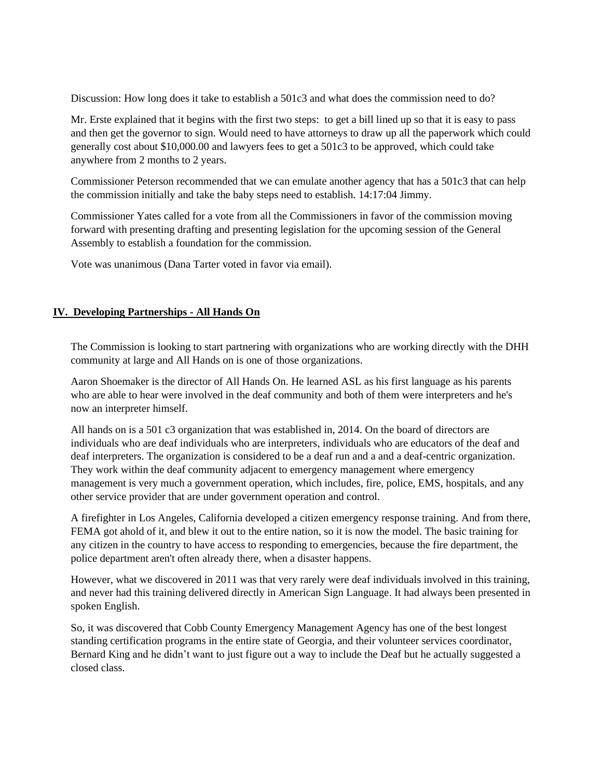Discussion: How long does it take to establish a 501c3 and what does the commission need to do?

Mr. Erste explained that it begins with the first two steps: to get a bill lined up so that it is easy to pass and then get the governor to sign. Would need to have attorneys to draw up all the paperwork which could generally cost about \$10,000.00 and lawyers fees to get a 501c3 to be approved, which could take anywhere from 2 months to 2 years.

Commissioner Peterson recommended that we can emulate another agency that has a 501c3 that can help the commission initially and take the baby steps need to establish. 14:17:04 Jimmy.

Commissioner Yates called for a vote from all the Commissioners in favor of the commission moving forward with presenting drafting and presenting legislation for the upcoming session of the General Assembly to establish a foundation for the commission.

Vote was unanimous (Dana Tarter voted in favor via email).

### **IV. Developing Partnerships - All Hands On**

The Commission is looking to start partnering with organizations who are working directly with the DHH community at large and All Hands on is one of those organizations.

Aaron Shoemaker is the director of All Hands On. He learned ASL as his first language as his parents who are able to hear were involved in the deaf community and both of them were interpreters and he's now an interpreter himself.

All hands on is a 501 c3 organization that was established in, 2014. On the board of directors are individuals who are deaf individuals who are interpreters, individuals who are educators of the deaf and deaf interpreters. The organization is considered to be a deaf run and a and a deaf-centric organization. They work within the deaf community adjacent to emergency management where emergency management is very much a government operation, which includes, fire, police, EMS, hospitals, and any other service provider that are under government operation and control.

A firefighter in Los Angeles, California developed a citizen emergency response training. And from there, FEMA got ahold of it, and blew it out to the entire nation, so it is now the model. The basic training for any citizen in the country to have access to responding to emergencies, because the fire department, the police department aren't often already there, when a disaster happens.

However, what we discovered in 2011 was that very rarely were deaf individuals involved in this training, and never had this training delivered directly in American Sign Language. It had always been presented in spoken English.

So, it was discovered that Cobb County Emergency Management Agency has one of the best longest standing certification programs in the entire state of Georgia, and their volunteer services coordinator, Bernard King and he didn't want to just figure out a way to include the Deaf but he actually suggested a closed class.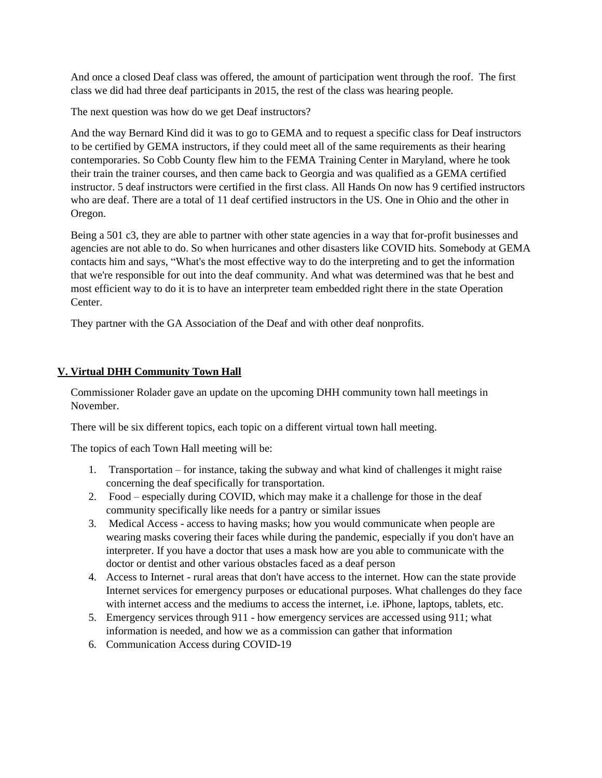And once a closed Deaf class was offered, the amount of participation went through the roof. The first class we did had three deaf participants in 2015, the rest of the class was hearing people.

The next question was how do we get Deaf instructors?

And the way Bernard Kind did it was to go to GEMA and to request a specific class for Deaf instructors to be certified by GEMA instructors, if they could meet all of the same requirements as their hearing contemporaries. So Cobb County flew him to the FEMA Training Center in Maryland, where he took their train the trainer courses, and then came back to Georgia and was qualified as a GEMA certified instructor. 5 deaf instructors were certified in the first class. All Hands On now has 9 certified instructors who are deaf. There are a total of 11 deaf certified instructors in the US. One in Ohio and the other in Oregon.

Being a 501 c3, they are able to partner with other state agencies in a way that for-profit businesses and agencies are not able to do. So when hurricanes and other disasters like COVID hits. Somebody at GEMA contacts him and says, "What's the most effective way to do the interpreting and to get the information that we're responsible for out into the deaf community. And what was determined was that he best and most efficient way to do it is to have an interpreter team embedded right there in the state Operation Center.

They partner with the GA Association of the Deaf and with other deaf nonprofits.

## **V. Virtual DHH Community Town Hall**

Commissioner Rolader gave an update on the upcoming DHH community town hall meetings in November.

There will be six different topics, each topic on a different virtual town hall meeting.

The topics of each Town Hall meeting will be:

- 1. Transportation for instance, taking the subway and what kind of challenges it might raise concerning the deaf specifically for transportation.
- 2. Food especially during COVID, which may make it a challenge for those in the deaf community specifically like needs for a pantry or similar issues
- 3. Medical Access access to having masks; how you would communicate when people are wearing masks covering their faces while during the pandemic, especially if you don't have an interpreter. If you have a doctor that uses a mask how are you able to communicate with the doctor or dentist and other various obstacles faced as a deaf person
- 4. Access to Internet rural areas that don't have access to the internet. How can the state provide Internet services for emergency purposes or educational purposes. What challenges do they face with internet access and the mediums to access the internet, i.e. iPhone, laptops, tablets, etc.
- 5. Emergency services through 911 how emergency services are accessed using 911; what information is needed, and how we as a commission can gather that information
- 6. Communication Access during COVID-19